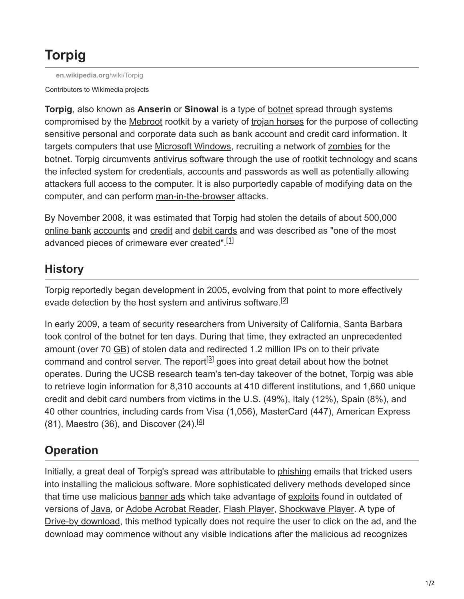# **Torpig**

**[en.wikipedia.org](https://en.wikipedia.org/wiki/Torpig)**/wiki/Torpig

Contributors to Wikimedia projects

**Torpig**, also known as **Anserin** or **Sinowal** is a type of [botnet](https://en.wikipedia.org/wiki/Botnet) spread through systems compromised by the [Mebroot](https://en.wikipedia.org/wiki/Mebroot) rootkit by a variety of [trojan horses](https://en.wikipedia.org/wiki/Trojan_horse_(computing)) for the purpose of collecting sensitive personal and corporate data such as bank account and credit card information. It targets computers that use [Microsoft Windows](https://en.wikipedia.org/wiki/Microsoft_Windows), recruiting a network of [zombies](https://en.wikipedia.org/wiki/Zombie_(computer_science)) for the botnet. Torpig circumvents [antivirus software](https://en.wikipedia.org/wiki/Antivirus_software) through the use of [rootkit](https://en.wikipedia.org/wiki/Rootkit) technology and scans the infected system for credentials, accounts and passwords as well as potentially allowing attackers full access to the computer. It is also purportedly capable of modifying data on the computer, and can perform [man-in-the-browser](https://en.wikipedia.org/wiki/Man-in-the-browser) attacks.

By November 2008, it was estimated that Torpig had stolen the details of about 500,000 [online bank](https://en.wikipedia.org/wiki/Online_bank) [accounts](https://en.wikipedia.org/wiki/Bank_account) and [credit](https://en.wikipedia.org/wiki/Credit_card) and [debit cards](https://en.wikipedia.org/wiki/Debit_card) and was described as "one of the most advanced pieces of crimeware ever created".<sup>[1]</sup>

## **History**

Torpig reportedly began development in 2005, evolving from that point to more effectively evade detection by the host system and antivirus software.<sup>[2]</sup>

In early 2009, a team of security researchers from [University of California, Santa Barbara](https://en.wikipedia.org/wiki/University_of_California,_Santa_Barbara) took control of the botnet for ten days. During that time, they extracted an unprecedented amount (over 70 [GB](https://en.wikipedia.org/wiki/Gigabyte)) of stolen data and redirected 1.2 million IPs on to their private command and control server. The report $^{[3]}$  goes into great detail about how the botnet operates. During the UCSB research team's ten-day takeover of the botnet, Torpig was able to retrieve login information for 8,310 accounts at 410 different institutions, and 1,660 unique credit and debit card numbers from victims in the U.S. (49%), Italy (12%), Spain (8%), and 40 other countries, including cards from Visa (1,056), MasterCard (447), American Express  $(81)$ , Maestro  $(36)$ , and Discover  $(24)$ . [4]

# **Operation**

Initially, a great deal of Torpig's spread was attributable to [phishing](https://en.wikipedia.org/wiki/Phishing) emails that tricked users into installing the malicious software. More sophisticated delivery methods developed since that time use malicious [banner ads](https://en.wikipedia.org/wiki/Web_banner) which take advantage of [exploits](https://en.wikipedia.org/wiki/Exploit_(computer_security)) found in outdated of versions of [Java,](https://en.wikipedia.org/wiki/Java_SE) or [Adobe Acrobat Reader,](https://en.wikipedia.org/wiki/Adobe_Acrobat_Reader) [Flash Player,](https://en.wikipedia.org/wiki/Flash_Player) [Shockwave Player](https://en.wikipedia.org/wiki/Shockwave_Player). A type of [Drive-by download](https://en.wikipedia.org/wiki/Drive-by_download), this method typically does not require the user to click on the ad, and the download may commence without any visible indications after the malicious ad recognizes